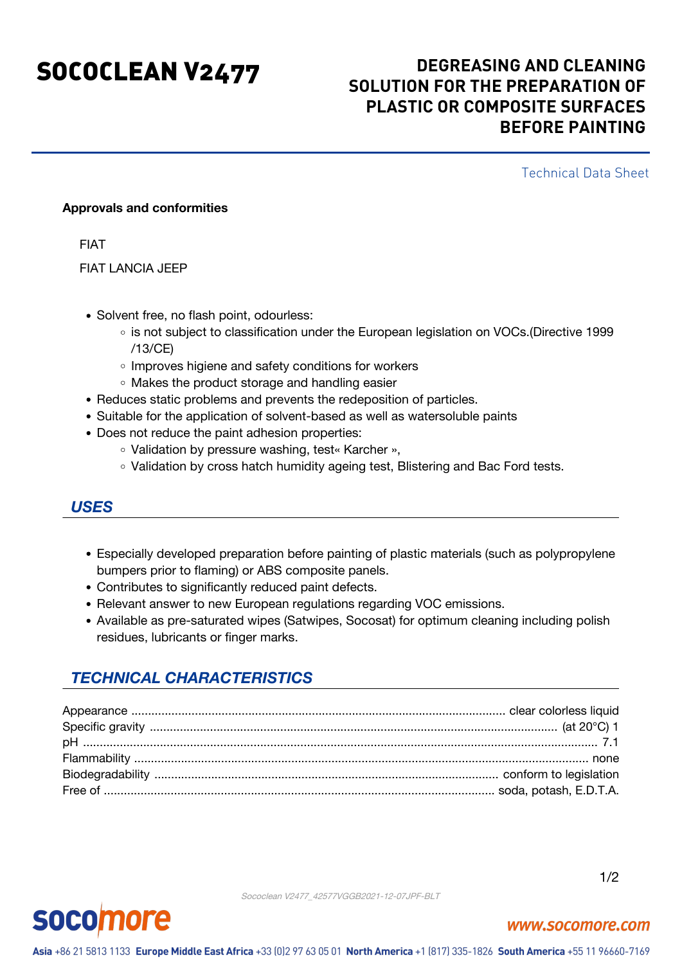# SOCOCLEAN V2477 **DEGREASING AND CLEANING SOLUTION FOR THE PREPARATION OF PLASTIC OR COMPOSITE SURFACES BEFORE PAINTING**

Technical Data Sheet

### **Approvals and conformities**

FIAT

FIAT LANCIA JEEP

- Solvent free, no flash point, odourless:
	- o is not subject to classification under the European legislation on VOCs.(Directive 1999 /13/CE)
	- o Improves higiene and safety conditions for workers
	- Makes the product storage and handling easier
- Reduces static problems and prevents the redeposition of particles.
- Suitable for the application of solvent-based as well as watersoluble paints
- Does not reduce the paint adhesion properties:
	- Validation by pressure washing, test« Karcher »,
	- Validation by cross hatch humidity ageing test, Blistering and Bac Ford tests.

## *USES*

- Especially developed preparation before painting of plastic materials (such as polypropylene bumpers prior to flaming) or ABS composite panels.
- Contributes to significantly reduced paint defects.
- Relevant answer to new European regulations regarding VOC emissions.
- Available as pre-saturated wipes (Satwipes, Socosat) for optimum cleaning including polish residues, lubricants or finger marks.

# *TECHNICAL CHARACTERISTICS*

Sococlean V2477\_42577VGGB2021-12-07JPF-BLT



www.socomore.com

1/2